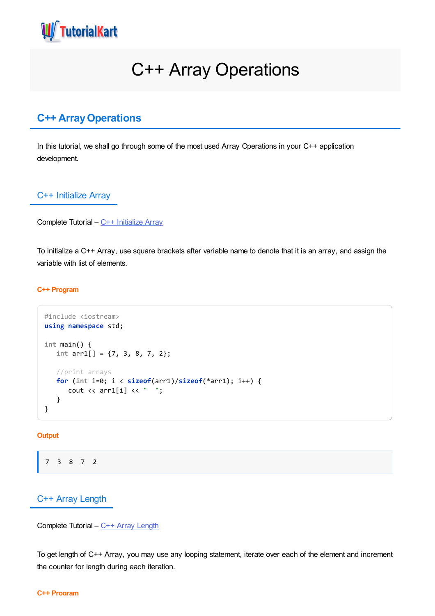

# C++ Array Operations

## **C++ ArrayOperations**

In this tutorial, we shall go through some of the most used Array Operations in your C++ application development.

## C++ Initialize Array

```
Complete Tutorial – C++ Initialize Array
```
To initialize a C++ Array, use square brackets after variable name to denote that it is an array, and assign the variable with list of elements.

#### **C++ Program**

```
#include <iostream>
using namespace std;
int main() {
   int arr1[] = {7, 3, 8, 7, 2};
   //print arrays
   for (int i=0; i < sizeof(arr1)/sizeof(*arr1); i++) {
      cout \langle arr1[i] \langle \rangle ";
   }
}
```
#### **Output**

```
7 3 8 7 2
```
## C++ Array Length

Complete Tutorial – C++ Array [Length](https://www.tutorialkart.com/cpp/cpp-array-length/)

To get length of C++ Array, you may use any looping statement, iterate over each of the element and increment the counter for length during each iteration.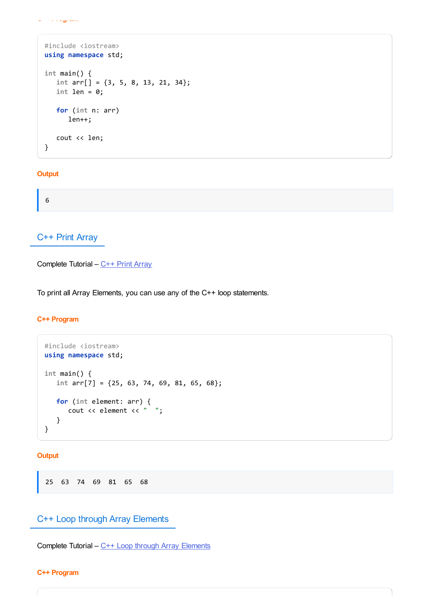```
C++ Program
```

```
#include <iostream>
using namespace std;
int main() {
  int arr[] = {3, 5, 8, 13, 21, 34};
  int len = 0;
  for (int n: arr)
      len++;
  cout << len;
}
```
### **Output**

6

## C++ Print Array

Complete Tutorial – C++ Print [Array](https://www.tutorialkart.com/cpp/cpp-print-array/)

To print all Array Elements, you can use any of the C++ loop statements.

#### **C++ Program**

```
#include <iostream>
using namespace std;
int main() {
  int arr[7] = {25, 63, 74, 69, 81, 65, 68};
  for (int element: arr) {
      cout << element << " ";
  }
}
```
**Output**

25 63 74 69 81 65 68

## C++ Loop through Array Elements

Complete Tutorial – C++ Loop through Array [Elements](https://www.tutorialkart.com/cpp/cpp-array-loop/)

#### **C++ Program**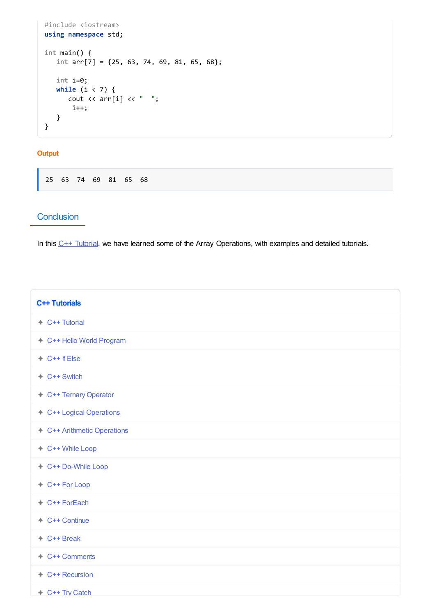```
#include <iostream>
using namespace std;
int main() {
   int arr[7] = {25, 63, 74, 69, 81, 65, 68};
   int i=0;
   while (i < 7) {
      cout \langle arr[i] \langle \langle " ";
       i++;
   }
}
```
#### **Output**

25 63 74 69 81 65 68

## **Conclusion**

In this  $C++$  [Tutorial](https://www.tutorialkart.com/cpp/), we have learned some of the Array Operations, with examples and detailed tutorials.

| <b>C++ Tutorials</b>        |
|-----------------------------|
| $\div$ C++ Tutorial         |
| ← C++ Hello World Program   |
| $\div$ C++ If Else          |
| $\div$ C++ Switch           |
| ← C++ Ternary Operator      |
| ← C++ Logical Operations    |
| ← C++ Arithmetic Operations |
| ← C++ While Loop            |
| ← C++ Do-While Loop         |
| + C++ For Loop              |
| + C++ ForEach               |
| + C++ Continue              |
| $\div$ C++ Break            |
| ← C++ Comments              |
| + C++ Recursion             |
| + C++ Try Catch             |